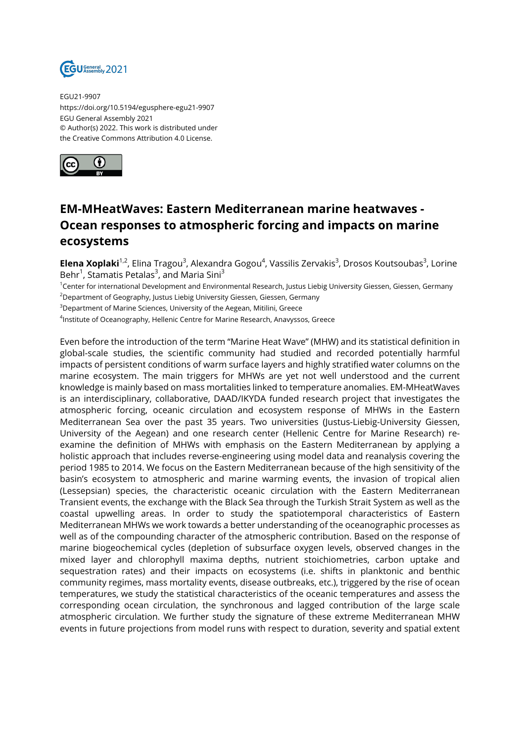

EGU21-9907 https://doi.org/10.5194/egusphere-egu21-9907 EGU General Assembly 2021 © Author(s) 2022. This work is distributed under the Creative Commons Attribution 4.0 License.



## **EM-MHeatWaves: Eastern Mediterranean marine heatwaves - Ocean responses to atmospheric forcing and impacts on marine ecosystems**

**Elena Xoplaki**<sup>1,2</sup>, Elina Tragou<sup>3</sup>, Alexandra Gogou<sup>4</sup>, Vassilis Zervakis<sup>3</sup>, Drosos Koutsoubas<sup>3</sup>, Lorine Behr<sup>1</sup>, Stamatis Petalas<sup>3</sup>, and Maria Sini<sup>3</sup>

<sup>1</sup>Center for international Development and Environmental Research, Justus Liebig University Giessen, Giessen, Germany <sup>2</sup>Department of Geography, Justus Liebig University Giessen, Giessen, Germany

<sup>3</sup>Department of Marine Sciences, University of the Aegean, Mitilini, Greece

 $^4$ Institute of Oceanography, Hellenic Centre for Marine Research, Anavyssos, Greece

Even before the introduction of the term "Marine Heat Wave" (MHW) and its statistical definition in global-scale studies, the scientific community had studied and recorded potentially harmful impacts of persistent conditions of warm surface layers and highly stratified water columns on the marine ecosystem. The main triggers for MHWs are yet not well understood and the current knowledge is mainly based on mass mortalities linked to temperature anomalies. EM-MHeatWaves is an interdisciplinary, collaborative, DAAD/IKYDA funded research project that investigates the atmospheric forcing, oceanic circulation and ecosystem response of MHWs in the Eastern Mediterranean Sea over the past 35 years. Two universities (Justus-Liebig-University Giessen, University of the Aegean) and one research center (Hellenic Centre for Marine Research) reexamine the definition of MHWs with emphasis on the Eastern Mediterranean by applying a holistic approach that includes reverse-engineering using model data and reanalysis covering the period 1985 to 2014. We focus on the Eastern Mediterranean because of the high sensitivity of the basin's ecosystem to atmospheric and marine warming events, the invasion of tropical alien (Lessepsian) species, the characteristic oceanic circulation with the Eastern Mediterranean Transient events, the exchange with the Black Sea through the Turkish Strait System as well as the coastal upwelling areas. In order to study the spatiotemporal characteristics of Eastern Mediterranean MHWs we work towards a better understanding of the oceanographic processes as well as of the compounding character of the atmospheric contribution. Based on the response of marine biogeochemical cycles (depletion of subsurface oxygen levels, observed changes in the mixed layer and chlorophyll maxima depths, nutrient stoichiometries, carbon uptake and sequestration rates) and their impacts on ecosystems (i.e. shifts in planktonic and benthic community regimes, mass mortality events, disease outbreaks, etc.), triggered by the rise of ocean temperatures, we study the statistical characteristics of the oceanic temperatures and assess the corresponding ocean circulation, the synchronous and lagged contribution of the large scale atmospheric circulation. We further study the signature of these extreme Mediterranean MHW events in future projections from model runs with respect to duration, severity and spatial extent